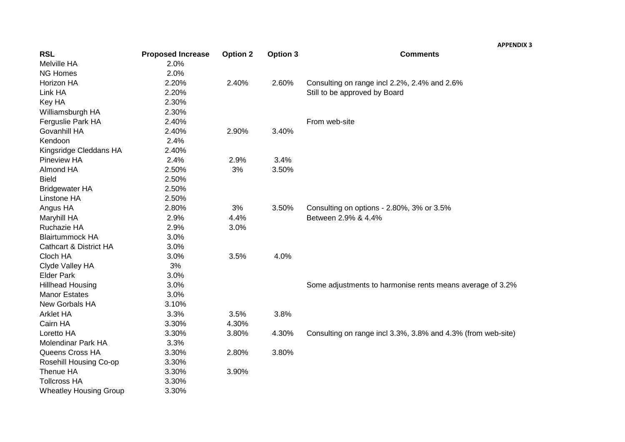|                                   |                          |                 |                 | <b>APPENDIX 3</b>                                            |
|-----------------------------------|--------------------------|-----------------|-----------------|--------------------------------------------------------------|
| <b>RSL</b>                        | <b>Proposed Increase</b> | <b>Option 2</b> | <b>Option 3</b> | <b>Comments</b>                                              |
| Melville HA                       | 2.0%                     |                 |                 |                                                              |
| <b>NG Homes</b>                   | 2.0%                     |                 |                 |                                                              |
| Horizon HA                        | 2.20%                    | 2.40%           | 2.60%           | Consulting on range incl 2.2%, 2.4% and 2.6%                 |
| Link HA                           | 2.20%                    |                 |                 | Still to be approved by Board                                |
| Key HA                            | 2.30%                    |                 |                 |                                                              |
| Williamsburgh HA                  | 2.30%                    |                 |                 |                                                              |
| Ferguslie Park HA                 | 2.40%                    |                 |                 | From web-site                                                |
| Govanhill HA                      | 2.40%                    | 2.90%           | 3.40%           |                                                              |
| Kendoon                           | 2.4%                     |                 |                 |                                                              |
| Kingsridge Cleddans HA            | 2.40%                    |                 |                 |                                                              |
| <b>Pineview HA</b>                | 2.4%                     | 2.9%            | 3.4%            |                                                              |
| <b>Almond HA</b>                  | 2.50%                    | 3%              | 3.50%           |                                                              |
| <b>Bield</b>                      | 2.50%                    |                 |                 |                                                              |
| <b>Bridgewater HA</b>             | 2.50%                    |                 |                 |                                                              |
| Linstone HA                       | 2.50%                    |                 |                 |                                                              |
| Angus HA                          | 2.80%                    | 3%              | 3.50%           | Consulting on options - 2.80%, 3% or 3.5%                    |
| Maryhill HA                       | 2.9%                     | 4.4%            |                 | Between 2.9% & 4.4%                                          |
| Ruchazie HA                       | 2.9%                     | 3.0%            |                 |                                                              |
| <b>Blairtummock HA</b>            | 3.0%                     |                 |                 |                                                              |
| <b>Cathcart &amp; District HA</b> | 3.0%                     |                 |                 |                                                              |
| Cloch HA                          | 3.0%                     | 3.5%            | 4.0%            |                                                              |
| Clyde Valley HA                   | 3%                       |                 |                 |                                                              |
| <b>Elder Park</b>                 | 3.0%                     |                 |                 |                                                              |
| <b>Hillhead Housing</b>           | 3.0%                     |                 |                 | Some adjustments to harmonise rents means average of 3.2%    |
| <b>Manor Estates</b>              | 3.0%                     |                 |                 |                                                              |
| <b>New Gorbals HA</b>             | 3.10%                    |                 |                 |                                                              |
| Arklet HA                         | 3.3%                     | 3.5%            | 3.8%            |                                                              |
| Cairn HA                          | 3.30%                    | 4.30%           |                 |                                                              |
| Loretto HA                        | 3.30%                    | 3.80%           | 4.30%           | Consulting on range incl 3.3%, 3.8% and 4.3% (from web-site) |
| Molendinar Park HA                | 3.3%                     |                 |                 |                                                              |
| Queens Cross HA                   | 3.30%                    | 2.80%           | 3.80%           |                                                              |
| Rosehill Housing Co-op            | 3.30%                    |                 |                 |                                                              |
| Thenue HA                         | 3.30%                    | 3.90%           |                 |                                                              |
| <b>Tollcross HA</b>               | 3.30%                    |                 |                 |                                                              |
| <b>Wheatley Housing Group</b>     | 3.30%                    |                 |                 |                                                              |